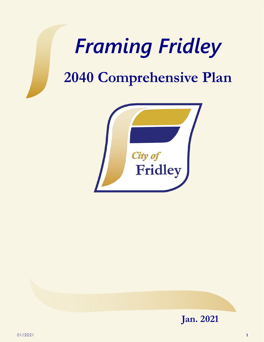# *Framing Fridley*

## **2040 Comprehensive Plan**



<span id="page-0-0"></span>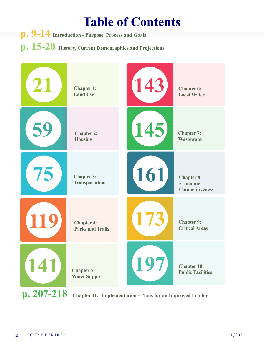#### **Table of Contents**

<span id="page-1-0"></span>**p. 9-14 Introduction - Purpose, Process and Goals p. 15-20 History, Current Demographics and Projections**



**p. 207-218 Chapter 11: Implementation - Plans for an Improved Fridley**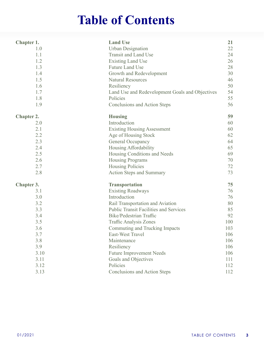#### **Table of Contents**

<span id="page-2-0"></span>

| Chapter 1.        | <b>Land Use</b>                                 | 21  |
|-------------------|-------------------------------------------------|-----|
| 1.0               | <b>Urban Designation</b>                        | 22  |
| 1.1               | <b>Transit and Land Use</b>                     | 24  |
| 1.2               | <b>Existing Land Use</b>                        | 26  |
| 1.3               | <b>Future Land Use</b>                          | 28  |
| 1.4               | Growth and Redevelopment                        | 30  |
| 1.5               | <b>Natural Resources</b>                        | 46  |
| 1.6               | Resiliency                                      | 50  |
| 1.7               | Land Use and Redevelopment Goals and Objectives | 54  |
| 1.8               | Policies                                        | 55  |
| 1.9               | Conclusions and Action Steps                    | 56  |
| <b>Chapter 2.</b> | <b>Housing</b>                                  | 59  |
| 2.0               | Introduction                                    | 60  |
| 2.1               | <b>Existing Housing Assessment</b>              | 60  |
| 2.2               | Age of Housing Stock                            | 62  |
| 2.3               | <b>General Occupancy</b>                        | 64  |
| 2.4               | Housing Affordability                           | 65  |
| 2.5               | Housing Conditions and Needs                    | 69  |
| 2.6               | <b>Housing Programs</b>                         | 70  |
| 2.7               | <b>Housing Policies</b>                         | 72  |
| 2.8               | Action Steps and Summary                        | 73  |
| <b>Chapter 3.</b> | <b>Transportation</b>                           | 75  |
| 3.1               | <b>Existing Roadways</b>                        | 76  |
| 3.0               | Introduction                                    | 76  |
| 3.2               | Rail Transportation and Aviation                | 80  |
| 3.3               | <b>Public Transit Facilities and Services</b>   | 85  |
| 3.4               | <b>Bike/Pedestrian Traffic</b>                  | 92  |
| 3.5               | <b>Traffic Analysis Zones</b>                   | 100 |
| 3.6               | Commuting and Trucking Impacts                  | 103 |
| 3.7               | East-West Travel                                | 106 |
| 3.8               | Maintenance                                     | 106 |
| 3.9               | Resiliency                                      | 106 |
| 3.10              | <b>Future Improvement Needs</b>                 | 106 |
| 3.11              | Goals and Objectives                            | 111 |
| 3.12              | Policies                                        | 112 |
| 3.13              | <b>Conclusions and Action Steps</b>             | 112 |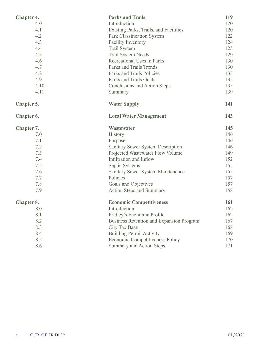<span id="page-3-0"></span>

| <b>Chapter 4.</b> | <b>Parks and Trails</b>                         | 119 |
|-------------------|-------------------------------------------------|-----|
| 4.0               | Introduction                                    | 120 |
| 4.1               | Existing Parks, Trails, and Facilities          | 120 |
| 4.2               | Park Classification System                      | 122 |
| 4.3               | <b>Facility Inventory</b>                       | 124 |
| 4.4               | <b>Trail System</b>                             | 125 |
| 4.5               | <b>Trail System Needs</b>                       | 129 |
| 4.6               | Recreational Uses in Parks                      | 130 |
| 4.7               | Parks and Trails Trends                         | 130 |
| 4.8               | Parks and Trails Policies                       | 133 |
| 4.9               | Parks and Trails Goals                          | 135 |
| 4.10              | <b>Conclusions and Action Steps</b>             | 135 |
| 4.11              | Summary                                         | 139 |
| <b>Chapter 5.</b> | <b>Water Supply</b>                             | 141 |
| Chapter 6.        | <b>Local Water Management</b>                   | 143 |
| <b>Chapter 7.</b> | Wastewater                                      | 145 |
| 7.0               | History                                         | 146 |
| 7.1               | Purpose                                         | 146 |
| 7.2               | <b>Sanitary Sewer System Description</b>        | 146 |
| 7.3               | Projected Wastewater Flow Volume                | 149 |
| 7.4               | Infiltration and Inflow                         | 152 |
| 7.5               | Septic Systems                                  | 155 |
| 7.6               | Sanitary Sewer System Maintenance               | 155 |
| 7.7               | Policies                                        | 157 |
| 7.8               | Goals and Objectives                            | 157 |
| 7.9               | <b>Action Steps and Summary</b>                 | 158 |
| <b>Chapter 8.</b> | <b>Economic Competitiveness</b>                 | 161 |
| 8.0               | Introduction                                    | 162 |
| 8.1               | Fridley's Economic Profile                      | 162 |
| 8.2               | <b>Business Retention and Expansion Program</b> | 167 |
| 8.3               | <b>City Tax Base</b>                            | 168 |
| 8.4               | <b>Building Permit Activity</b>                 | 169 |
| 8.5               | <b>Economic Competitiveness Policy</b>          | 170 |
| 8.6               | <b>Summary and Action Steps</b>                 | 171 |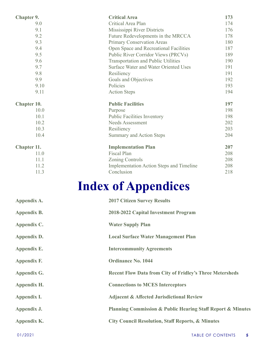<span id="page-4-0"></span>

| <b>Chapter 9.</b>  | <b>Critical Area</b>                            | 173 |
|--------------------|-------------------------------------------------|-----|
| 9.0                | Critical Area Plan                              | 174 |
| 9.1                | Mississippi River Districts                     | 176 |
| 9.2                | Future Redevelopments in the MRCCA              | 178 |
| 9.3                | <b>Primary Conservation Areas</b>               | 180 |
| 9.4                | Open Space and Recreational Facilities          | 187 |
| 9.5                | Public River Corridor Views (PRCVs)             | 189 |
| 9.6                | <b>Transportation and Public Utilities</b>      | 190 |
| 9.7                | <b>Surface Water and Water Oriented Uses</b>    | 191 |
| 9.8                | Resiliency                                      | 191 |
| 9.9                | Goals and Objectives                            | 192 |
| 9.10               | Policies                                        | 193 |
| 9.11               | <b>Action Steps</b>                             | 194 |
| <b>Chapter 10.</b> | <b>Public Facilities</b>                        | 197 |
| 10.0               | Purpose                                         | 198 |
| 10.1               | <b>Public Facilities Inventory</b>              | 198 |
| 10.2               | Needs Assessment                                | 202 |
| 10.3               | Resiliency                                      | 203 |
| 10.4               | <b>Summary and Action Steps</b>                 | 204 |
| <b>Chapter 11.</b> | <b>Implementation Plan</b>                      | 207 |
| 11.0               | <b>Fiscal Plan</b>                              | 208 |
| 11.1               | <b>Zoning Controls</b>                          | 208 |
| 11.2               | <b>Implementation Action Steps and Timeline</b> | 208 |
| 11.3               | Conclusion                                      | 218 |
|                    |                                                 |     |

## **Index of Appendices**

| Appendix A. | <b>2017 Citizen Survey Results</b>                                         |
|-------------|----------------------------------------------------------------------------|
| Appendix B. | 2018-2022 Capital Investment Program                                       |
| Appendix C. | <b>Water Supply Plan</b>                                                   |
| Appendix D. | <b>Local Surface Water Management Plan</b>                                 |
| Appendix E. | <b>Intercommunity Agreements</b>                                           |
| Appendix F. | <b>Ordinance No. 1044</b>                                                  |
| Appendix G. | <b>Recent Flow Data from City of Fridley's Three Metersheds</b>            |
| Appendix H. | <b>Connections to MCES Interceptors</b>                                    |
| Appendix I. | <b>Adjacent &amp; Affected Jurisdictional Review</b>                       |
| Appendix J. | <b>Planning Commission &amp; Public Hearing Staff Report &amp; Minutes</b> |
| Appendix K. | <b>City Council Resolution, Staff Reports, &amp; Minutes</b>               |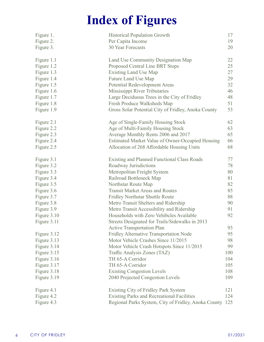### **Index of Figures**

<span id="page-5-0"></span>

| Figure 1.<br>Figure 2.<br>Figure 3. | <b>Historical Population Growth</b><br>Per Capita Income<br><b>30 Year Forecasts</b> | 17<br>19<br>20 |
|-------------------------------------|--------------------------------------------------------------------------------------|----------------|
| Figure 1.1                          | Land Use Community Designation Map                                                   | 22             |
| Figure 1.2                          | Proposed Central Line BRT Stops                                                      | 25             |
| Figure 1.3                          | <b>Existing Land Use Map</b>                                                         | 27             |
| Figure 1.4                          | Future Land Use Map                                                                  | 29             |
| Figure 1.5                          | <b>Potential Redevelopment Areas</b>                                                 | 32             |
| Figure 1.6                          | Mississippi River Tributaries                                                        | 46             |
| Figure 1.7                          | Large Deciduous Trees in the City of Fridley                                         | 48             |
| Figure 1.8                          | Fresh Produce Walksheds Map                                                          | 51             |
| Figure 1.9                          | Gross Solar Potential City of Fridley, Anoka County                                  | 53             |
| Figure 2.1                          | Age of Single-Family Housing Stock                                                   | 62             |
| Figure 2.2                          | Age of Multi-Family Housing Stock                                                    | 63             |
| Figure 2.3                          | Average Monthly Rents 2006 and 2017                                                  | 65             |
| Figure 2.4                          | Estimated Market Value of Owner-Occupied Housing                                     | 66             |
| Figure 2.5                          | Allocation of 268 Affordable Housing Units                                           | 68             |
| Figure 3.1                          | <b>Existing and Planned Functional Class Roads</b>                                   | 77             |
| Figure 3.2                          | Roadway Jurisdictions                                                                | 78             |
| Figure 3.3                          | Metropolitan Freight System                                                          | 80             |
| Figure 3.4                          | Railroad Bottleneck Map                                                              | 81             |
| Figure 3.5                          | Northstar Route Map                                                                  | 82             |
| Figure 3.6                          | <b>Transit Market Areas and Routes</b>                                               | 85             |
| Figure 3.7                          | <b>Fridley Northstar Shuttle Route</b>                                               | 88             |
| Figure 3.8                          | Metro Transit Shelters and Ridership                                                 | 90             |
| Figure 3.9                          | Metro Transit Accessibility and Ridership                                            | 91             |
| Figure 3.10                         | Households with Zero Vehibcles Available                                             | 92             |
| Figure 3.11                         | Streets Designated for Trails/Sidewalks in 2013                                      |                |
|                                     | <b>Active Transportation Plan</b>                                                    | 93             |
| Figure 3.12                         | Fridley Alternative Transportation Node                                              | 95             |
| Figure 3.13                         | Motor Vehicle Crashes Since 11/2015                                                  | 98             |
| Figure 3.14                         | Motor Vehicle Crash Hotspots Since 11/2015                                           | 99             |
| Figure 3.15                         | Traffic Analysis Zones (TAZ)                                                         | 100            |
| Figure 3.16                         | TH 65-A Corridor                                                                     | 104            |
| Figure 3.17                         | TH 65-A Corridor                                                                     | 105            |
| Figure 3.18                         | <b>Existing Congestion Levels</b>                                                    | 108            |
| Figure 3.19                         | 2040 Projected Congestion Levels                                                     | 109            |
| Figure 4.1                          | Existing City of Fridley Park System                                                 | 121            |
| Figure 4.2                          | <b>Existing Parks and Recreational Facilities</b>                                    | 124            |
| Figure 4.3                          | Regional Parks System, City of Fridley, Anoka County                                 | 125            |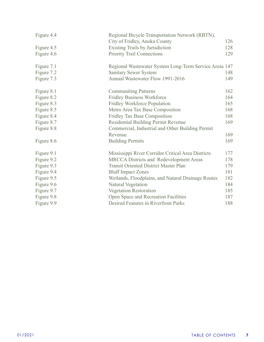<span id="page-6-0"></span>

| Figure 4.4 | Regional Bicycle Transportation Network (RBTN),        |     |
|------------|--------------------------------------------------------|-----|
|            | City of Fridley, Anoka County                          | 126 |
| Figure 4.5 | <b>Existing Trails by Jurisdiction</b>                 | 128 |
| Figure 4.6 | <b>Priority Trail Connections</b>                      | 129 |
| Figure 7.1 | Regional Wastewater System Long-Term Service Areas 147 |     |
| Figure 7.2 | <b>Sanitary Sewer System</b>                           | 148 |
| Figure 7.3 | Annual Wastewater Flow 1991-2016                       | 149 |
| Figure 8.1 | <b>Communiting Patterns</b>                            | 162 |
| Figure 8.2 | <b>Fridley Business Workforce</b>                      | 164 |
| Figure 8.3 | <b>Fridley Workforce Population</b>                    | 165 |
| Figure 8.5 | Metro Area Tax Base Composition                        | 168 |
| Figure 8.4 | <b>Fridley Tax Base Composition</b>                    | 168 |
| Figure 8.7 | Residential Building Permit Revenue                    | 169 |
| Figure 8.8 | Commercial, Industrial and Other Building Permit       |     |
|            | Revenue                                                | 169 |
| Figure 8.6 | <b>Building Permits</b>                                | 169 |
| Figure 9.1 | Mississippi River Corridor Critical Area Districts     | 177 |
| Figure 9.2 | <b>MRCCA Districts and Redevelopment Areas</b>         | 178 |
| Figure 9.3 | <b>Transit Oriented District Master Plan</b>           | 179 |
| Figure 9.4 | <b>Bluff Impact Zones</b>                              | 181 |
| Figure 9.5 | Wetlands, Floodplains, and Natural Drainage Routes     | 182 |
| Figure 9.6 | Natural Vegetation                                     | 184 |
| Figure 9.7 | <b>Vegetation Restoration</b>                          | 185 |
| Figure 9.8 | Open Space and Recreation Facilities                   | 187 |
| Figure 9.9 | Desired Features in Riverfront Parks                   | 188 |